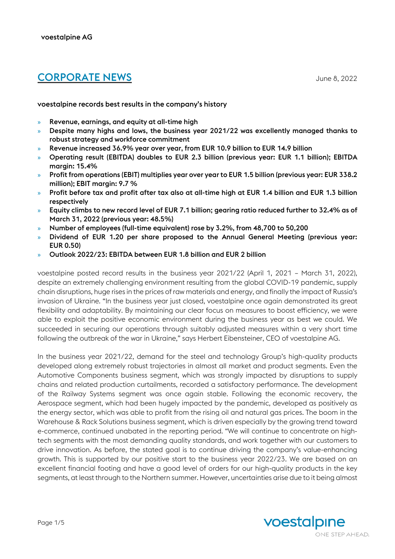# CORPORATE NEWS June 8, 2022

voestalpine records best results in the company's history

- » Revenue, earnings, and equity at all-time high
- » Despite many highs and lows, the business year 2021/22 was excellently managed thanks to robust strategy and workforce commitment
- » Revenue increased 36.9% year over year, from EUR 10.9 billion to EUR 14.9 billion
- » Operating result (EBITDA) doubles to EUR 2.3 billion (previous year: EUR 1.1 billion); EBITDA margin: 15.4%
- » Profit from operations (EBIT) multiplies year over year to EUR 1.5 billion (previous year: EUR 338.2 million); EBIT margin: 9.7 %
- » Profit before tax and profit after tax also at all-time high at EUR 1.4 billion and EUR 1.3 billion respectively
- » Equity climbs to new record level of EUR 7.1 billion; gearing ratio reduced further to 32.4% as of March 31, 2022 (previous year: 48.5%)
- » Number of employees (full-time equivalent) rose by 3.2%, from 48,700 to 50,200
- » Dividend of EUR 1.20 per share proposed to the Annual General Meeting (previous year: EUR 0.50)
- » Outlook 2022/23: EBITDA between EUR 1.8 billion and EUR 2 billion

voestalpine posted record results in the business year 2021/22 (April 1, 2021 – March 31, 2022), despite an extremely challenging environment resulting from the global COVID-19 pandemic, supply chain disruptions, huge rises in the prices of raw materials and energy, and finally the impact of Russia's invasion of Ukraine. "In the business year just closed, voestalpine once again demonstrated its great flexibility and adaptability. By maintaining our clear focus on measures to boost efficiency, we were able to exploit the positive economic environment during the business year as best we could. We succeeded in securing our operations through suitably adjusted measures within a very short time following the outbreak of the war in Ukraine," says Herbert Eibensteiner, CEO of voestalpine AG.

In the business year 2021/22, demand for the steel and technology Group's high-quality products developed along extremely robust trajectories in almost all market and product segments. Even the Automotive Components business segment, which was strongly impacted by disruptions to supply chains and related production curtailments, recorded a satisfactory performance. The development of the Railway Systems segment was once again stable. Following the economic recovery, the Aerospace segment, which had been hugely impacted by the pandemic, developed as positively as the energy sector, which was able to profit from the rising oil and natural gas prices. The boom in the Warehouse & Rack Solutions business segment, which is driven especially by the growing trend toward e-commerce, continued unabated in the reporting period. "We will continue to concentrate on hightech segments with the most demanding quality standards, and work together with our customers to drive innovation. As before, the stated goal is to continue driving the company's value-enhancing growth. This is supported by our positive start to the business year 2022/23. We are based on an excellent financial footing and have a good level of orders for our high-quality products in the key segments, at least through to the Northern summer. However, uncertainties arise due to it being almost

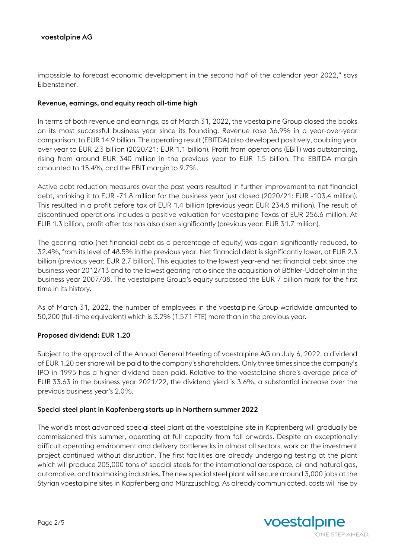impossible to forecast economic development in the second half of the calendar year 2022," says Eibensteiner.

### Revenue, earnings, and equity reach all-time high

In terms of both revenue and earnings, as of March 31, 2022, the voestalpine Group closed the books on its most successful business year since its founding. Revenue rose 36.9% in a year-over-year comparison, to EUR 14.9 billion. The operating result (EBITDA) also developed positively, doubling year over year to EUR 2.3 billion (2020/21: EUR 1.1 billion). Profit from operations (EBIT) was outstanding, rising from around EUR 340 million in the previous year to EUR 1.5 billion. The EBITDA margin amounted to 15.4%, and the EBIT margin to 9.7%.

Active debt reduction measures over the past years resulted in further improvement to net financial debt, shrinking it to EUR -71.8 million for the business year just closed (2020/21: EUR -103.4 million). This resulted in a profit before tax of EUR 1.4 billion (previous year: EUR 234.8 million). The result of discontinued operations includes a positive valuation for voestalpine Texas of EUR 256.6 million. At EUR 1.3 billion, profit after tax has also risen significantly (previous year: EUR 31.7 million).

The gearing ratio (net financial debt as a percentage of equity) was again significantly reduced, to 32.4%, from its level of 48.5% in the previous year. Net financial debt is significantly lower, at EUR 2.3 billion (previous year: EUR 2.7 billion). This equates to the lowest year-end net financial debt since the business year 2012/13 and to the lowest gearing ratio since the acquisition of Böhler-Uddeholm in the business year 2007/08. The voestalpine Group's equity surpassed the EUR 7 billion mark for the first time in its history.

As of March 31, 2022, the number of employees in the voestalpine Group worldwide amounted to 50,200 (full-time equivalent) which is 3.2% (1,571 FTE) more than in the previous year.

# Proposed dividend: EUR 1.20

Subject to the approval of the Annual General Meeting of voestalpine AG on July 6, 2022, a dividend of EUR 1.20 per share will be paid to the company's shareholders. Only three times since the company's IPO in 1995 has a higher dividend been paid. Relative to the voestalpine share's average price of EUR 33.63 in the business year 2021/22, the dividend yield is 3.6%, a substantial increase over the previous business year's 2.0%.

#### Special steel plant in Kapfenberg starts up in Northern summer 2022

The world's most advanced special steel plant at the voestalpine site in Kapfenberg will gradually be commissioned this summer, operating at full capacity from fall onwards. Despite an exceptionally difficult operating environment and delivery bottlenecks in almost all sectors, work on the investment project continued without disruption. The first facilities are already undergoing testing at the plant which will produce 205,000 tons of special steels for the international aerospace, oil and natural gas, automotive, and toolmaking industries. The new special steel plant will secure around 3,000 jobs at the Styrian voestalpine sites in Kapfenberg and Mürzzuschlag. As already communicated, costs will rise by

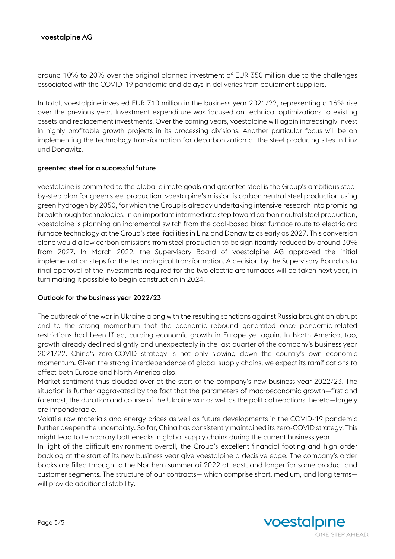# voestalpine AG

around 10% to 20% over the original planned investment of EUR 350 million due to the challenges associated with the COVID-19 pandemic and delays in deliveries from equipment suppliers.

In total, voestalpine invested EUR 710 million in the business year 2021/22, representing a 16% rise over the previous year. Investment expenditure was focused on technical optimizations to existing assets and replacement investments. Over the coming years, voestalpine will again increasingly invest in highly profitable growth projects in its processing divisions. Another particular focus will be on implementing the technology transformation for decarbonization at the steel producing sites in Linz und Donawitz.

### greentec steel for a successful future

voestalpine is commited to the global climate goals and greentec steel is the Group's ambitious stepby-step plan for green steel production. voestalpine's mission is carbon neutral steel production using green hydrogen by 2050, for which the Group is already undertaking intensive research into promising breakthrough technologies. In an important intermediate step toward carbon neutral steel production, voestalpine is planning an incremental switch from the coal-based blast furnace route to electric arc furnace technology at the Group's steel facilities in Linz and Donawitz as early as 2027. This conversion alone would allow carbon emissions from steel production to be significantly reduced by around 30% from 2027. In March 2022, the Supervisory Board of voestalpine AG approved the initial implementation steps for the technological transformation. A decision by the Supervisory Board as to final approval of the investments required for the two electric arc furnaces will be taken next year, in turn making it possible to begin construction in 2024.

# Outlook for the business year 2022/23

The outbreak of the war in Ukraine along with the resulting sanctions against Russia brought an abrupt end to the strong momentum that the economic rebound generated once pandemic-related restrictions had been lifted, curbing economic growth in Europe yet again. In North America, too, growth already declined slightly and unexpectedly in the last quarter of the company's business year 2021/22. China's zero-COVID strategy is not only slowing down the country's own economic momentum. Given the strong interdependence of global supply chains, we expect its ramifications to affect both Europe and North America also.

Market sentiment thus clouded over at the start of the company's new business year 2022/23. The situation is further aggravated by the fact that the parameters of macroeconomic growth—first and foremost, the duration and course of the Ukraine war as well as the political reactions thereto—largely are imponderable.

Volatile raw materials and energy prices as well as future developments in the COVID-19 pandemic further deepen the uncertainty. So far, China has consistently maintained its zero-COVID strategy. This might lead to temporary bottlenecks in global supply chains during the current business year.

In light of the difficult environment overall, the Group's excellent financial footing and high order backlog at the start of its new business year give voestalpine a decisive edge. The company's order books are filled through to the Northern summer of 2022 at least, and longer for some product and customer segments. The structure of our contracts— which comprise short, medium, and long terms will provide additional stability.

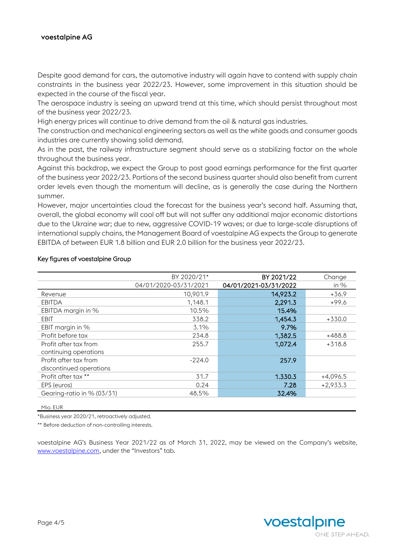# voestalpine AG

Despite good demand for cars, the automotive industry will again have to contend with supply chain constraints in the business year 2022/23. However, some improvement in this situation should be expected in the course of the fiscal year.

The aerospace industry is seeing an upward trend at this time, which should persist throughout most of the business year 2022/23.

High energy prices will continue to drive demand from the oil & natural gas industries.

The construction and mechanical engineering sectors as well as the white goods and consumer goods industries are currently showing solid demand.

As in the past, the railway infrastructure segment should serve as a stabilizing factor on the whole throughout the business year.

Against this backdrop, we expect the Group to post good earnings performance for the first quarter of the business year 2022/23. Portions of the second business quarter should also benefit from current order levels even though the momentum will decline, as is generally the case during the Northern summer.

However, major uncertainties cloud the forecast for the business year's second half. Assuming that, overall, the global economy will cool off but will not suffer any additional major economic distortions due to the Ukraine war; due to new, aggressive COVID-19 waves; or due to large-scale disruptions of international supply chains, the Management Board of voestalpine AG expects the Group to generate EBITDA of between EUR 1.8 billion and EUR 2.0 billion for the business year 2022/23.

|                            | BY 2020/21*           | BY 2021/22            | Change     |
|----------------------------|-----------------------|-----------------------|------------|
|                            | 04/01/2020-03/31/2021 | 04/01/2021-03/31/2022 | in $%$     |
| Revenue                    | 10.901.9              | 14,923.2              | $+36.9$    |
| <b>EBITDA</b>              | 1.148.1               | 2,291.3               | $+99.6$    |
| EBITDA margin in %         | 10.5%                 | 15.4%                 |            |
| EBIT                       | 338.2                 | 1,454.3               | $+330.0$   |
| EBIT margin in %           | 3.1%                  | 9.7%                  |            |
| Profit before tax          | 234.8                 | 1,382.5               | +488.8     |
| Profit after tax from      | 255.7                 | 1,072.4               | $+318.8$   |
| continuing operations      |                       |                       |            |
| Profit after tax from      | $-224.0$              | 257.9                 |            |
| discontinued operations    |                       |                       |            |
| Profit after tax **        | 31.7                  | 1.330.3               | $+4,096.5$ |
| EPS (euros)                | 0.24                  | 7.28                  | $+2,933.3$ |
| Gearing-ratio in % (03/31) | 48.5%                 | 32.4%                 |            |

### Key figures of voestalpine Group

Mio. EUR

\*Business year 2020/21, retroactively adjusted.

\*\* Before deduction of non-controlling interests.

voestalpine AG's Business Year 2021/22 as of March 31, 2022, may be viewed on the Company's website, [www.voestalpine.com,](http://www.voestalpine.com/) under the "Investors" tab.